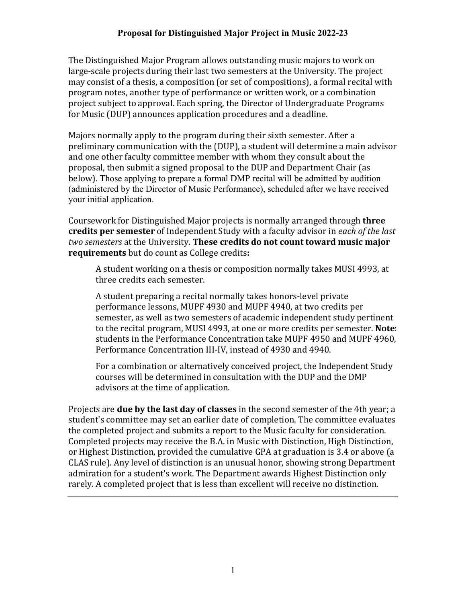The Distinguished Major Program allows outstanding music majors to work on large-scale projects during their last two semesters at the University. The project may consist of a thesis, a composition (or set of compositions), a formal recital with program notes, another type of performance or written work, or a combination project subject to approval. Each spring, the Director of Undergraduate Programs for Music (DUP) announces application procedures and a deadline.

Majors normally apply to the program during their sixth semester. After a preliminary communication with the (DUP), a student will determine a main advisor and one other faculty committee member with whom they consult about the proposal, then submit a signed proposal to the DUP and Department Chair (as below). Those applying to prepare a formal DMP recital will be admitted by audition (administered by the Director of Music Performance), scheduled after we have received your initial application.

Coursework for Distinguished Major projects is normally arranged through **three credits per semester** of Independent Study with a faculty advisor in *each of the last two semesters* at the University. **These credits do not count toward music major requirements** but do count as College credits**:** 

A student working on a thesis or composition normally takes MUSI 4993, at three credits each semester.

A student preparing a recital normally takes honors-level private performance lessons, MUPF 4930 and MUPF 4940, at two credits per semester, as well as two semesters of academic independent study pertinent to the recital program, MUSI 4993, at one or more credits per semester. **Note**: students in the Performance Concentration take MUPF 4950 and MUPF 4960, Performance Concentration III-IV, instead of 4930 and 4940.

For a combination or alternatively conceived project, the Independent Study courses will be determined in consultation with the DUP and the DMP advisors at the time of application.

Projects are **due by the last day of classes** in the second semester of the 4th year; a student's committee may set an earlier date of completion. The committee evaluates the completed project and submits a report to the Music faculty for consideration. Completed projects may receive the B.A. in Music with Distinction, High Distinction, or Highest Distinction, provided the cumulative GPA at graduation is 3.4 or above (a CLAS rule). Any level of distinction is an unusual honor, showing strong Department admiration for a student's work. The Department awards Highest Distinction only rarely. A completed project that is less than excellent will receive no distinction.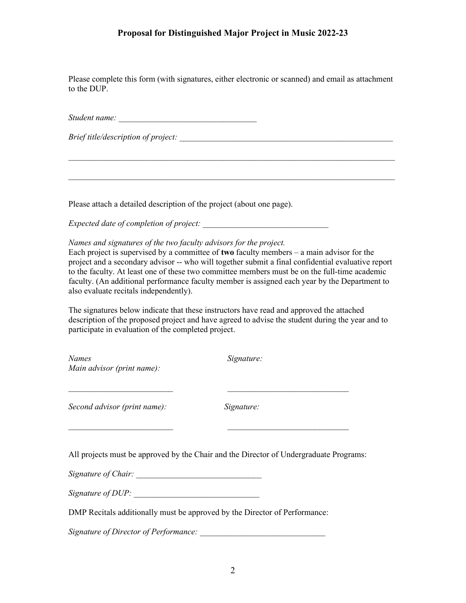## **Proposal for Distinguished Major Project in Music 2022-23**

Please complete this form (with signatures, either electronic or scanned) and email as attachment to the DUP.

*\_\_\_\_\_\_\_\_\_\_\_\_\_\_\_\_\_\_\_\_\_\_\_\_\_\_\_\_\_\_\_\_\_\_\_\_\_\_\_\_\_\_\_\_\_\_\_\_\_\_\_\_\_\_\_\_\_\_\_\_\_\_\_\_\_\_\_\_\_\_\_\_\_\_\_\_\_\_*

*\_\_\_\_\_\_\_\_\_\_\_\_\_\_\_\_\_\_\_\_\_\_\_\_\_\_\_\_\_\_\_\_\_\_\_\_\_\_\_\_\_\_\_\_\_\_\_\_\_\_\_\_\_\_\_\_\_\_\_\_\_\_\_\_\_\_\_\_\_\_\_\_\_\_\_\_\_\_*

*Student name: \_\_\_\_\_\_\_\_\_\_\_\_\_\_\_\_\_\_\_\_\_\_\_\_\_\_\_\_\_\_\_\_\_*

*Brief title/description of project:*  $\frac{1}{2}$ 

Please attach a detailed description of the project (about one page).

*Expected date of completion of project:* 

*Names and signatures of the two faculty advisors for the project.*

Each project is supervised by a committee of **two** faculty members – a main advisor for the project and a secondary advisor -- who will together submit a final confidential evaluative report to the faculty. At least one of these two committee members must be on the full-time academic faculty. (An additional performance faculty member is assigned each year by the Department to also evaluate recitals independently).

The signatures below indicate that these instructors have read and approved the attached description of the proposed project and have agreed to advise the student during the year and to participate in evaluation of the completed project.

*Names Signature: Main advisor (print name):*

*Second advisor (print name): Signature:*

All projects must be approved by the Chair and the Director of Undergraduate Programs:

*\_\_\_\_\_\_\_\_\_\_\_\_\_\_\_\_\_\_\_\_\_\_\_\_\_ \_\_\_\_\_\_\_\_\_\_\_\_\_\_\_\_\_\_\_\_\_\_\_\_\_\_\_\_\_*

*\_\_\_\_\_\_\_\_\_\_\_\_\_\_\_\_\_\_\_\_\_\_\_\_\_ \_\_\_\_\_\_\_\_\_\_\_\_\_\_\_\_\_\_\_\_\_\_\_\_\_\_\_\_\_*

*Signature of Chair: \_\_\_\_\_\_\_\_\_\_\_\_\_\_\_\_\_\_\_\_\_\_\_\_\_\_\_\_\_\_*

*Signature of DUP:* 

DMP Recitals additionally must be approved by the Director of Performance:

*Signature of Director of Performance: \_\_\_\_\_\_\_\_\_\_\_\_\_\_\_\_\_\_\_\_\_\_\_\_\_\_\_\_\_\_*